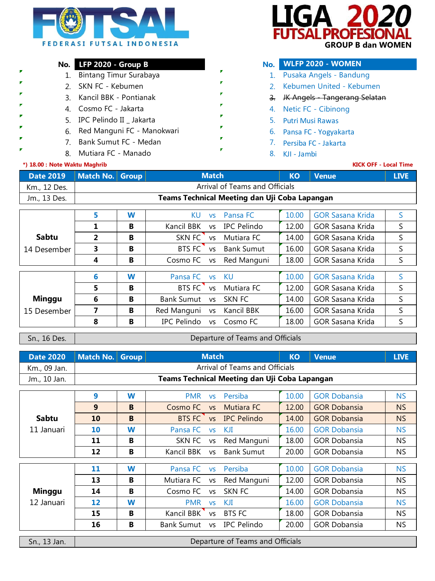

# **No. LFP 2020 - Group B No.**

- 1. Bintang Timur Surabaya **1. Pagkalang tang 1.**
- 2. 2. SKN FC Kebumen
- 3. Kancil BBK Pontianak 1988 1988 S.
- 4. Cosmo FC Jakarta
- 5. 5. Putri Musi Rawas IPC Pelindo II \_ Jakarta
- 6. 6. Pansa FC Yogyakarta Red Manguni FC Manokwari
	- 7. 7. Persiba FC Jakarta Bank Sumut FC Medan
		- 8. Mutiara FC Manado **Manado Casa na FC Manado Casa na F**C Santo B. KJI Jambi

## **\*) 18.00 : Note Waktu Maghrib**

**P F** P



# **WLFP 2020 - WOMEN**

- 1. Pusaka Angels Bandung
- 2. Kebumen United Kebumen
- 3. JK Angels Tangerang Selatan
- 4. Netic FC Cibinong
- 
- -
- 

### **KICK OFF - Local Time**

|              | Date 2019 Match No. Group<br><b>Match</b> |                                               | <b>KO</b> | <b>Venue</b> | <b>LIVE</b> |  |  |  |
|--------------|-------------------------------------------|-----------------------------------------------|-----------|--------------|-------------|--|--|--|
| Km., 12 Des. | Arrival of Teams and Officials            |                                               |           |              |             |  |  |  |
| Jm., 13 Des. |                                           | Teams Technical Meeting dan Uji Coba Lapangan |           |              |             |  |  |  |

|               | 5 | W | KU             | <b>VS</b> | Pansa FC          | 10.00 | <b>GOR Sasana Krida</b> | S  |
|---------------|---|---|----------------|-----------|-------------------|-------|-------------------------|----|
|               |   | в | Kancil BBK     | <b>VS</b> | IPC Pelindo       | 12.00 | GOR Sasana Krida        | S  |
| <b>Sabtu</b>  | 2 | В | SKN FC vs      |           | Mutiara FC        | 14.00 | GOR Sasana Krida        | S  |
| 14 Desember   | 3 | в | BTS FC vs      |           | <b>Bank Sumut</b> | 16.00 | GOR Sasana Krida        | S  |
|               | 4 | В | Cosmo FC vs    |           | Red Manguni       | 18.00 | <b>GOR Sasana Krida</b> | S  |
|               |   |   |                |           |                   |       |                         |    |
|               | 6 | W | Pansa FC vs    |           | - KU              | 10.00 | <b>GOR Sasana Krida</b> | S  |
|               | 5 | в | BTS FC vs      |           | Mutiara FC        | 12.00 | GOR Sasana Krida        | S  |
| <b>Minggu</b> | 6 | B | Bank Sumut vs  |           | SKN FC            | 14.00 | GOR Sasana Krida        | S. |
| 15 Desember   |   | в | Red Manguni vs |           | Kancil BBK        | 16.00 | GOR Sasana Krida        | S  |
|               | 8 | в | IPC Pelindo    | <b>VS</b> | Cosmo FC          | 18.00 | GOR Sasana Krida        |    |

Sn., 16 Des.

#### Departure of Teams and Officials

|              | Date 2020   Match No. Group | <b>Match</b>                                  | <b>KO</b> | <b>N</b> Venue | <b>LIVE</b> |
|--------------|-----------------------------|-----------------------------------------------|-----------|----------------|-------------|
| Km., 09 Jan. |                             | Arrival of Teams and Officials                |           |                |             |
| Jm., 10 Jan. |                             | Teams Technical Meeting dan Uji Coba Lapangan |           |                |             |

|               | 9                 | W | <b>PMR</b><br><b>VS</b>        | Persiba            | 10.00 | <b>GOR Dobansia</b> | <b>NS</b> |
|---------------|-------------------|---|--------------------------------|--------------------|-------|---------------------|-----------|
|               | 9                 | B | Cosmo FC<br><b>VS</b>          | Mutiara FC         | 12.00 | <b>GOR Dobansia</b> | NS.       |
| <b>Sabtu</b>  | 10                | B | BTS FC<br><b>VS</b>            | <b>IPC Pelindo</b> | 14.00 | <b>GOR Dobansia</b> | <b>NS</b> |
| 11 Januari    | 10                | W | Pansa FC<br><b>VS</b>          | KJI                | 16.00 | <b>GOR Dobansia</b> | <b>NS</b> |
|               | 11                | B | SKN FC<br><b>VS</b>            | Red Manguni        | 18.00 | <b>GOR Dobansia</b> | NS.       |
|               | 12                | B | Kancil BBK<br><b>VS</b>        | <b>Bank Sumut</b>  | 20.00 | <b>GOR Dobansia</b> | <b>NS</b> |
|               |                   |   |                                |                    |       |                     |           |
|               | 11                | W | Pansa FC vs                    | Persiba            | 10.00 | <b>GOR Dobansia</b> | <b>NS</b> |
|               | 13                | B | Mutiara FC<br>VS               | Red Manguni        | 12.00 | <b>GOR Dobansia</b> | NS.       |
| <b>Minggu</b> | 14                | B | Cosmo FC<br><b>VS</b>          | SKN FC             | 14.00 | <b>GOR Dobansia</b> | NS.       |
| 12 Januari    | $12 \overline{ }$ | W | <b>PMR</b><br><b>VS</b>        | KJI                | 16.00 | <b>GOR Dobansia</b> | <b>NS</b> |
|               | 15                | B | Kancil BBK<br><b>VS</b>        | <b>BTS FC</b>      | 18.00 | <b>GOR Dobansia</b> | NS.       |
|               | 16                | В | <b>Bank Sumut</b><br><b>VS</b> | IPC Pelindo        | 20.00 | <b>GOR Dobansia</b> | NS.       |
|               |                   |   |                                |                    |       |                     |           |

Sn., 13 Jan.

Departure of Teams and Officials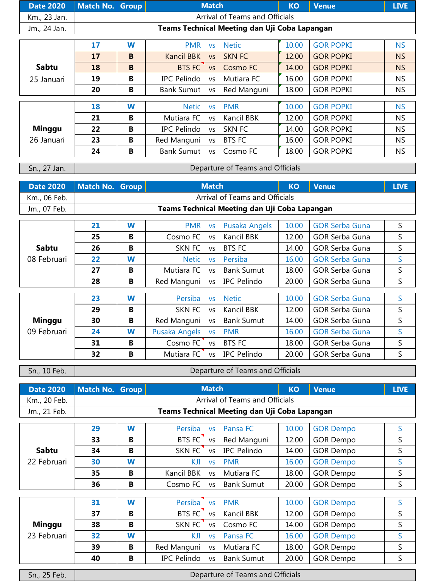| Date 2020   Match No. Group |  | <b>Match</b>                                  | <b>KO</b> | <b>Venue</b> | <b>LIVE</b> |
|-----------------------------|--|-----------------------------------------------|-----------|--------------|-------------|
| Km., 23 Jan.                |  | Arrival of Teams and Officials                |           |              |             |
| Jm., 24 Jan.                |  | Teams Technical Meeting dan Uji Coba Lapangan |           |              |             |

|               | 17 | W | <b>PMR</b>        | <b>VS</b> | <b>Netic</b>  | 10.00 | <b>GOR POPKI</b> | <b>NS</b> |
|---------------|----|---|-------------------|-----------|---------------|-------|------------------|-----------|
|               | 17 | B | Kancil BBK        | <b>VS</b> | SKN FC        | 12.00 | <b>GOR POPKI</b> | <b>NS</b> |
| <b>Sabtu</b>  | 18 | B | BTS FC            |           | vs Cosmo FC   | 14.00 | <b>GOR POPKI</b> | <b>NS</b> |
| 25 Januari    | 19 | B | IPC Pelindo       | <b>VS</b> | Mutiara FC    | 16.00 | <b>GOR POPKI</b> | NS.       |
|               | 20 | B | Bank Sumut vs     |           | Red Manguni   | 18.00 | <b>GOR POPKI</b> | NS.       |
|               |    |   |                   |           |               |       |                  |           |
|               | 18 | W | <b>Netic</b>      | <b>VS</b> | <b>PMR</b>    | 10.00 | <b>GOR POPKI</b> | <b>NS</b> |
|               | 21 | B | Mutiara FC        | VS        | Kancil BBK    | 12.00 | <b>GOR POPKI</b> | <b>NS</b> |
| <b>Minggu</b> | 22 | B | IPC Pelindo       | <b>VS</b> | SKN FC        | 14.00 | <b>GOR POPKI</b> | <b>NS</b> |
| 26 Januari    | 23 | B | Red Manguni vs    |           | <b>BTS FC</b> | 16.00 | <b>GOR POPKI</b> | NS.       |
|               | 24 | B | <b>Bank Sumut</b> | <b>VS</b> | Cosmo FC      | 18.00 | <b>GOR POPKI</b> | <b>NS</b> |

Sn., 27 Jan.

Departure of Teams and Officials

|              | Date 2020   Match No.   Group | <b>Match</b>                                  | <b>KO</b> | <b>Venue</b> | <b>LIVE</b> |
|--------------|-------------------------------|-----------------------------------------------|-----------|--------------|-------------|
| Km., 06 Feb. |                               | Arrival of Teams and Officials                |           |              |             |
| Jm., 07 Feb. |                               | Teams Technical Meeting dan Uji Coba Lapangan |           |              |             |

|             | 21 | W | PMR vs                     |           | Pusaka Angels             | 10.00 | <b>GOR Serba Guna</b> | S.           |
|-------------|----|---|----------------------------|-----------|---------------------------|-------|-----------------------|--------------|
|             | 25 | В | Cosmo FC                   | <b>VS</b> | Kancil BBK                | 12.00 | <b>GOR Serba Guna</b> | S            |
| Sabtu       | 26 | В | SKN FC                     | <b>VS</b> | BTS FC                    | 14.00 | <b>GOR Serba Guna</b> | S            |
| 08 Februari | 22 | W | <b>Netic</b>               | <b>VS</b> | Persiba                   | 16.00 | <b>GOR Serba Guna</b> | S            |
|             | 27 | В | Mutiara FC                 | <b>VS</b> | <b>Bank Sumut</b>         | 18.00 | <b>GOR Serba Guna</b> | S            |
|             | 28 | В | Red Manguni vs IPC Pelindo |           |                           | 20.00 | <b>GOR Serba Guna</b> | S            |
|             |    |   |                            |           |                           |       |                       |              |
|             | 23 | W | <b>Persiba</b>             | <b>VS</b> | <b>Netic</b>              | 10.00 | <b>GOR Serba Guna</b> | S.           |
|             | 29 | B | SKN FC                     | VS.       | Kancil BBK                | 12.00 | <b>GOR Serba Guna</b> | S.           |
| Minggu      | 30 | В | Red Manguni vs             |           | <b>Bank Sumut</b>         | 14.00 | <b>GOR Serba Guna</b> | S.           |
| 09 Februari | 24 | W | Pusaka Angels vs           |           | <b>PMR</b>                | 16.00 | <b>GOR Serba Guna</b> | <sub>S</sub> |
|             | 31 | B | Cosmo $FC$ vs              |           | <b>BTS FC</b>             | 18.00 | <b>GOR Serba Guna</b> | S.           |
|             | 32 | B |                            |           | Mutiara FC vs IPC Pelindo | 20.00 | <b>GOR Serba Guna</b> | S            |

Sn., 10 Feb.

Departure of Teams and Officials

| Date 2020   Match No. Group |  | <b>Match</b>                                  | <b>KO</b> | <b>Venue</b> | <b>LIVE</b> |
|-----------------------------|--|-----------------------------------------------|-----------|--------------|-------------|
| Km., 20 Feb.                |  | Arrival of Teams and Officials                |           |              |             |
| Jm., 21 Feb.                |  | Teams Technical Meeting dan Uji Coba Lapangan |           |              |             |
|                             |  |                                               |           |              |             |

|              | 29 | W |        | Persiba vs Pansa FC      | 10.00 | <b>GOR Dempo</b> |  |
|--------------|----|---|--------|--------------------------|-------|------------------|--|
|              | 33 | в |        | BTS FC vs Red Manguni    | 12.00 | <b>GOR Dempo</b> |  |
| <b>Sabtu</b> | 34 | в | SKN FC | vs IPC Pelindo           | 14.00 | <b>GOR Dempo</b> |  |
| 22 Februari  | 30 | W | KJI    | vs PMR                   | 16.00 | <b>GOR Dempo</b> |  |
|              | 35 | B |        | Kancil BBK vs Mutiara FC | 18.00 | <b>GOR Dempo</b> |  |
|              | 36 | B |        | Cosmo FC vs Bank Sumut   | 20.00 | <b>GOR Dempo</b> |  |
|              |    |   |        |                          |       |                  |  |

|               | 31 | W | Persiba vs                | <b>PMR</b> | 10.00 | <b>GOR Dempo</b> |  |
|---------------|----|---|---------------------------|------------|-------|------------------|--|
|               | 37 | B | BTS FC<br><b>VS</b>       | Kancil BBK | 12.00 | <b>GOR Dempo</b> |  |
| <b>Minggu</b> | 38 | B | SKN FC<br><b>VS</b>       | Cosmo FC   | 14.00 | <b>GOR Dempo</b> |  |
| 23 Februari   | 32 | W | KJI<br><b>VS</b>          | Pansa FC   | 16.00 | <b>GOR Dempo</b> |  |
|               | 39 | B | Red Manguni vs Mutiara FC |            | 18.00 | <b>GOR Dempo</b> |  |
|               | 40 | B | IPC Pelindo vs            | Bank Sumut | 20.00 | <b>GOR Dempo</b> |  |

Sn., 25 Feb.

Departure of Teams and Officials